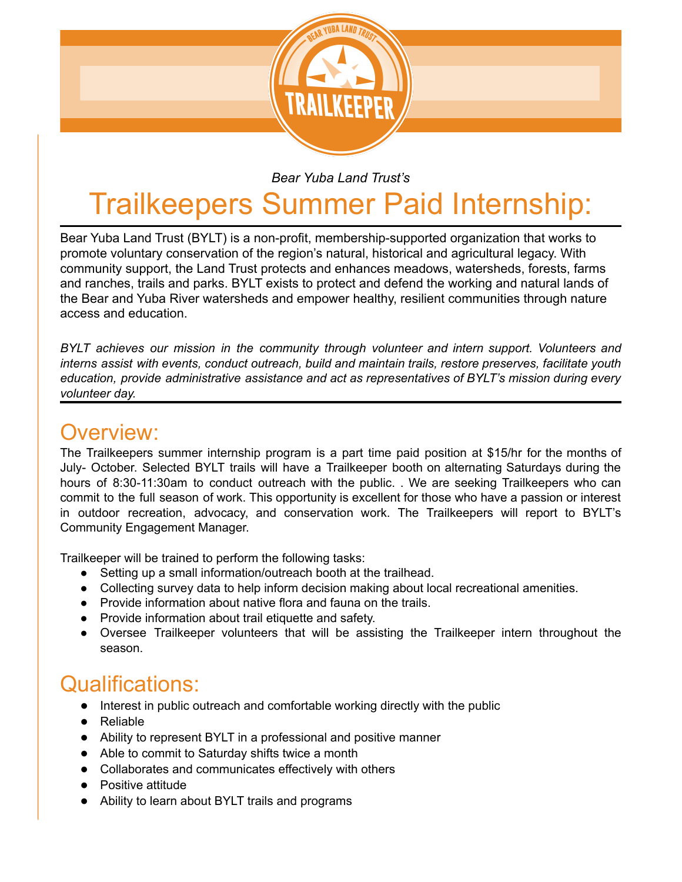

## *Bear Yuba Land Trust's*

## Trailkeepers Summer Paid Internship:

Bear Yuba Land Trust (BYLT) is a non-profit, membership-supported organization that works to promote voluntary conservation of the region's natural, historical and agricultural legacy. With community support, the Land Trust protects and enhances meadows, watersheds, forests, farms and ranches, trails and parks. BYLT exists to protect and defend the working and natural lands of the Bear and Yuba River watersheds and empower healthy, resilient communities through nature access and education.

*BYLT achieves our mission in the community through volunteer and intern support. Volunteers and interns assist with events, conduct outreach, build and maintain trails, restore preserves, facilitate youth education, provide administrative assistance and act as representatives of BYLT's mission during every volunteer day.*

## Overview:

The Trailkeepers summer internship program is a part time paid position at \$15/hr for the months of July- October. Selected BYLT trails will have a Trailkeeper booth on alternating Saturdays during the hours of 8:30-11:30am to conduct outreach with the public. . We are seeking Trailkeepers who can commit to the full season of work. This opportunity is excellent for those who have a passion or interest in outdoor recreation, advocacy, and conservation work. The Trailkeepers will report to BYLT's Community Engagement Manager.

Trailkeeper will be trained to perform the following tasks:

- Setting up a small information/outreach booth at the trailhead.
- Collecting survey data to help inform decision making about local recreational amenities.
- Provide information about native flora and fauna on the trails.
- Provide information about trail etiquette and safety.
- Oversee Trailkeeper volunteers that will be assisting the Trailkeeper intern throughout the season.

## Qualifications:

- Interest in public outreach and comfortable working directly with the public
- Reliable
- Ability to represent BYLT in a professional and positive manner
- Able to commit to Saturday shifts twice a month
- Collaborates and communicates effectively with others
- Positive attitude
- Ability to learn about BYLT trails and programs